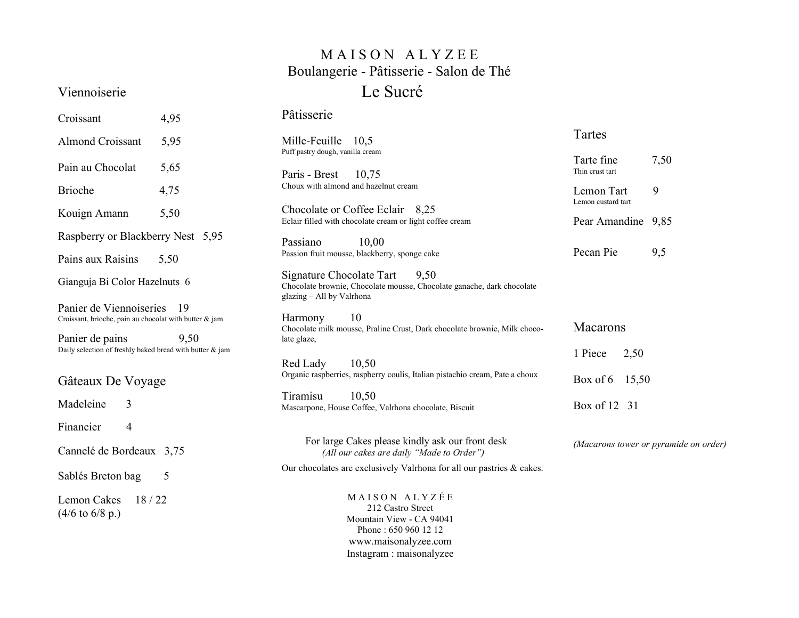## MAISON ALYZEE Boulangerie - Pâtisserie - Salon de Thé Le Sucré

## Viennoiserie

Croissant 4,95

|  | Pâtisserie |  |
|--|------------|--|

| <b>Almond Croissant</b>                                                           | 5,95                                                                                              | 10,5<br>Mille-Feuille                                                                                                                      | Tartes                                |      |
|-----------------------------------------------------------------------------------|---------------------------------------------------------------------------------------------------|--------------------------------------------------------------------------------------------------------------------------------------------|---------------------------------------|------|
| Pain au Chocolat                                                                  | 5,65                                                                                              | Puff pastry dough, vanilla cream<br>Paris - Brest<br>10,75                                                                                 | Tarte fine<br>Thin crust tart         | 7,50 |
| Brioche                                                                           | 4,75                                                                                              | Choux with almond and hazelnut cream                                                                                                       | Lemon Tart<br>Lemon custard tart      | 9    |
| Kouign Amann                                                                      | 5,50                                                                                              | Chocolate or Coffee Eclair 8,25<br>Eclair filled with chocolate cream or light coffee cream                                                | Pear Amandine 9,85                    |      |
| Raspberry or Blackberry Nest 5,95                                                 |                                                                                                   | Passiano<br>10,00                                                                                                                          |                                       |      |
| Pains aux Raisins                                                                 | 5,50                                                                                              | Passion fruit mousse, blackberry, sponge cake                                                                                              | Pecan Pie                             | 9,5  |
| Gianguja Bi Color Hazelnuts 6                                                     |                                                                                                   | Signature Chocolate Tart<br>9,50<br>Chocolate brownie, Chocolate mousse, Chocolate ganache, dark chocolate<br>glazing - All by Valrhona    |                                       |      |
| Panier de Viennoiseries<br>Croissant, brioche, pain au chocolat with butter & jam | -19<br>10<br>Harmony<br>Chocolate milk mousse, Praline Crust, Dark chocolate brownie, Milk choco- |                                                                                                                                            | <b>Macarons</b>                       |      |
| Panier de pains<br>Daily selection of freshly baked bread with butter & jam       | 9,50                                                                                              | late glaze,                                                                                                                                | 2,50<br>1 Piece<br>Box of 6 15,50     |      |
| Gâteaux De Voyage                                                                 |                                                                                                   | 10,50<br>Red Lady<br>Organic raspberries, raspberry coulis, Italian pistachio cream, Pate a choux                                          |                                       |      |
| Madeleine<br>3                                                                    |                                                                                                   | Tiramisu<br>10,50<br>Mascarpone, House Coffee, Valrhona chocolate, Biscuit                                                                 | Box of 12 31                          |      |
| Financier<br>$\overline{4}$                                                       |                                                                                                   |                                                                                                                                            |                                       |      |
| Cannelé de Bordeaux 3,75                                                          |                                                                                                   | For large Cakes please kindly ask our front desk<br>(All our cakes are daily "Made to Order")                                              | (Macarons tower or pyramide on order) |      |
| Sablés Breton bag                                                                 | 5                                                                                                 | Our chocolates are exclusively Valrhona for all our pastries & cakes.                                                                      |                                       |      |
| Lemon Cakes<br>18/22<br>$(4/6 \text{ to } 6/8 \text{ p.})$                        |                                                                                                   | MAISON ALYZÉE<br>212 Castro Street<br>Mountain View - CA 94041<br>Phone: 650 960 12 12<br>www.maisonalyzee.com<br>Instagram : maisonalyzee |                                       |      |